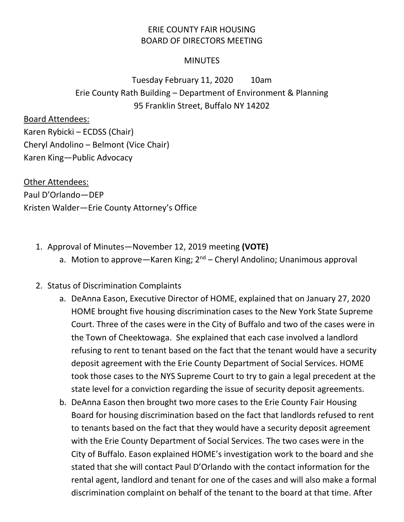## ERIE COUNTY FAIR HOUSING BOARD OF DIRECTORS MEETING

## **MINUTES**

## Tuesday February 11, 2020 10am Erie County Rath Building – Department of Environment & Planning 95 Franklin Street, Buffalo NY 14202

Board Attendees:

Karen Rybicki – ECDSS (Chair) Cheryl Andolino – Belmont (Vice Chair) Karen King—Public Advocacy

Other Attendees: Paul D'Orlando—DEP Kristen Walder—Erie County Attorney's Office

- 1. Approval of Minutes—November 12, 2019 meeting **(VOTE)**
	- a. Motion to approve—Karen King;  $2^{nd}$  Cheryl Andolino; Unanimous approval
- 2. Status of Discrimination Complaints
	- a. DeAnna Eason, Executive Director of HOME, explained that on January 27, 2020 HOME brought five housing discrimination cases to the New York State Supreme Court. Three of the cases were in the City of Buffalo and two of the cases were in the Town of Cheektowaga. She explained that each case involved a landlord refusing to rent to tenant based on the fact that the tenant would have a security deposit agreement with the Erie County Department of Social Services. HOME took those cases to the NYS Supreme Court to try to gain a legal precedent at the state level for a conviction regarding the issue of security deposit agreements.
	- b. DeAnna Eason then brought two more cases to the Erie County Fair Housing Board for housing discrimination based on the fact that landlords refused to rent to tenants based on the fact that they would have a security deposit agreement with the Erie County Department of Social Services. The two cases were in the City of Buffalo. Eason explained HOME's investigation work to the board and she stated that she will contact Paul D'Orlando with the contact information for the rental agent, landlord and tenant for one of the cases and will also make a formal discrimination complaint on behalf of the tenant to the board at that time. After